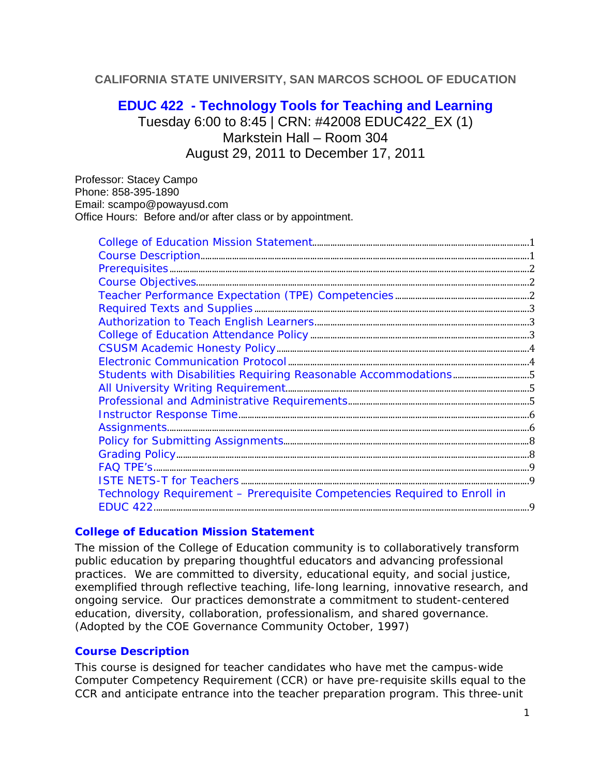# **CALIFORNIA STATE UNIVERSITY, SAN MARCOS SCHOOL OF EDUCATION**

# **EDUC 422 - Technology Tools for Teaching and Learning**

Tuesday 6:00 to 8:45 | CRN: #42008 EDUC422\_EX (1) Markstein Hall – Room 304 August 29, 2011 to December 17, 2011

Professor: Stacey Campo Phone: 858-395-1890 Email: scampo@powayusd.com Office Hours: Before and/or after class or by appointment.

| Technology Requirement - Prerequisite Competencies Required to Enroll in |
|--------------------------------------------------------------------------|
|                                                                          |

### **College of Education Mission Statement**

The mission of the College of Education community is to collaboratively transform public education by preparing thoughtful educators and advancing professional practices. We are committed to diversity, educational equity, and social justice, exemplified through reflective teaching, life-long learning, innovative research, and ongoing service. Our practices demonstrate a commitment to student-centered education, diversity, collaboration, professionalism, and shared governance. *(Adopted by the COE Governance Community October, 1997)* 

### **Course Description**

This course is designed for teacher candidates who have met the campus-wide Computer Competency Requirement (CCR) or have pre-requisite skills equal to the CCR and anticipate entrance into the teacher preparation program. This three-unit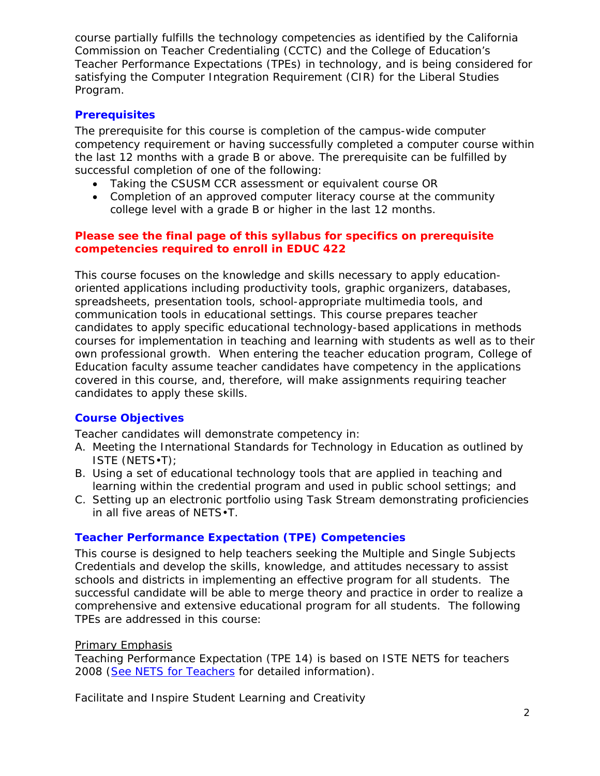course partially fulfills the technology competencies as identified by the California Commission on Teacher Credentialing (CCTC) and the College of Education's Teacher Performance Expectations (TPEs) in technology, and is being considered for satisfying the Computer Integration Requirement (CIR) for the Liberal Studies Program.

# **Prerequisites**

The prerequisite for this course is completion of the campus-wide computer competency requirement or having successfully completed a computer course within the last 12 months with a grade B or above. The prerequisite can be fulfilled by successful completion of one of the following:

- Taking the CSUSM CCR assessment or equivalent course OR
- Completion of an approved computer literacy course at the community college level with a grade B or higher in the last 12 months.

# **Please see the final page of this syllabus for specifics on prerequisite competencies required to enroll in EDUC 422**

This course focuses on the knowledge and skills necessary to apply educationoriented applications including productivity tools, graphic organizers, databases, spreadsheets, presentation tools, school-appropriate multimedia tools, and communication tools in educational settings. This course prepares teacher candidates to apply specific educational technology-based applications in methods courses for implementation in teaching and learning with students as well as to their own professional growth. When entering the teacher education program, College of Education faculty assume teacher candidates have competency in the applications covered in this course, and, therefore, will make assignments requiring teacher candidates to apply these skills.

# **Course Objectives**

Teacher candidates will demonstrate competency in:

- A. Meeting the International Standards for Technology in Education as outlined by ISTE (NETS•T);
- B. Using a set of educational technology tools that are applied in teaching and learning within the credential program and used in public school settings; and
- C. Setting up an electronic portfolio using Task Stream demonstrating proficiencies in all five areas of NETS•T.

# **Teacher Performance Expectation (TPE) Competencies**

 successful candidate will be able to merge theory and practice in order to realize a This course is designed to help teachers seeking the Multiple and Single Subjects Credentials and develop the skills, knowledge, and attitudes necessary to assist schools and districts in implementing an effective program for all students. The comprehensive and extensive educational program for all students. The following TPEs are addressed in this course:

# Primary Emphasis

Teaching Performance Expectation (TPE 14) is based on ISTE NETS for teachers 2008 (See NETS for Teachers for detailed information).

*Facilitate and Inspire Student Learning and Creativity*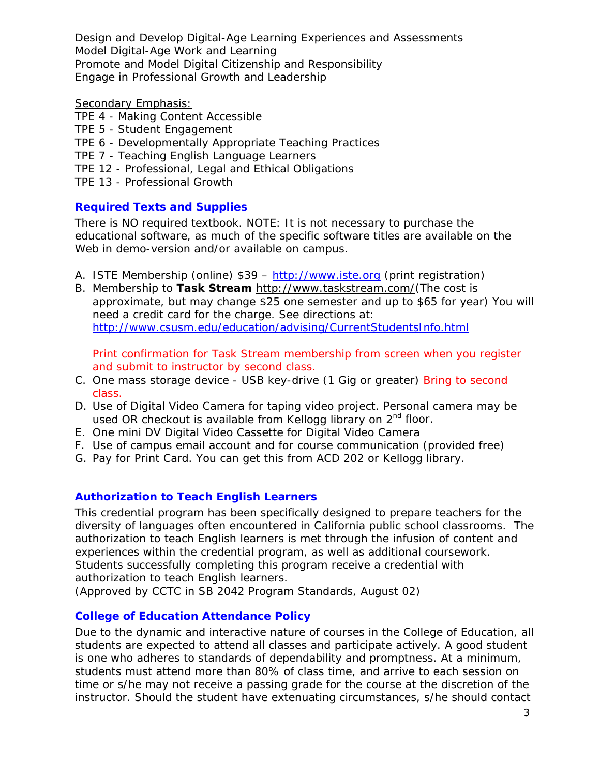*Design and Develop Digital-Age Learning Experiences and Assessments Model Digital-Age Work and Learning Promote and Model Digital Citizenship and Responsibility Engage in Professional Growth and Leadership* 

#### Secondary Emphasis:

- TPE 4 Making Content Accessible
- TPE 5 Student Engagement
- TPE 6 Developmentally Appropriate Teaching Practices
- TPE 7 Teaching English Language Learners
- TPE 12 Professional, Legal and Ethical Obligations
- TPE 13 Professional Growth

### **Required Texts and Supplies**

There is NO required textbook. NOTE: It is not necessary to purchase the educational software, as much of the specific software titles are available on the Web in demo-version and/or available on campus.

- A. ISTE Membership (online) \$39 http://www.iste.org (print registration)
- B. Membership to **Task Stream** http://www.taskstream.com/(The cost is approximate, but may change \$25 one semester and up to \$65 for year) You will need a credit card for the charge. See directions at: http://www.csusm.edu/education/advising/CurrentStudentsInfo.html

Print confirmation for Task Stream membership from screen when you register and submit to instructor by second class.

- C. One mass storage device USB key-drive (1 Gig or greater) Bring to second class.
- D. Use of Digital Video Camera for taping video project. Personal camera may be used OR checkout is available from Kellogg library on  $2<sup>nd</sup>$  floor.
- E. One mini DV Digital Video Cassette for Digital Video Camera
- F. Use of campus email account and for course communication (provided free)
- G. Pay for Print Card. You can get this from ACD 202 or Kellogg library.

### **Authorization to Teach English Learners**

This credential program has been specifically designed to prepare teachers for the diversity of languages often encountered in California public school classrooms. The authorization to teach English learners is met through the infusion of content and experiences within the credential program, as well as additional coursework. Students successfully completing this program receive a credential with authorization to teach English learners.

*(Approved by CCTC in SB 2042 Program Standards, August 02)* 

### **College of Education Attendance Policy**

Due to the dynamic and interactive nature of courses in the College of Education, all students are expected to attend all classes and participate actively. A good student is one who adheres to standards of dependability and promptness. At a minimum, students must attend more than 80% of class time, and arrive to each session on time or s/he may not receive a passing grade for the course at the discretion of the instructor. Should the student have extenuating circumstances, s/he should contact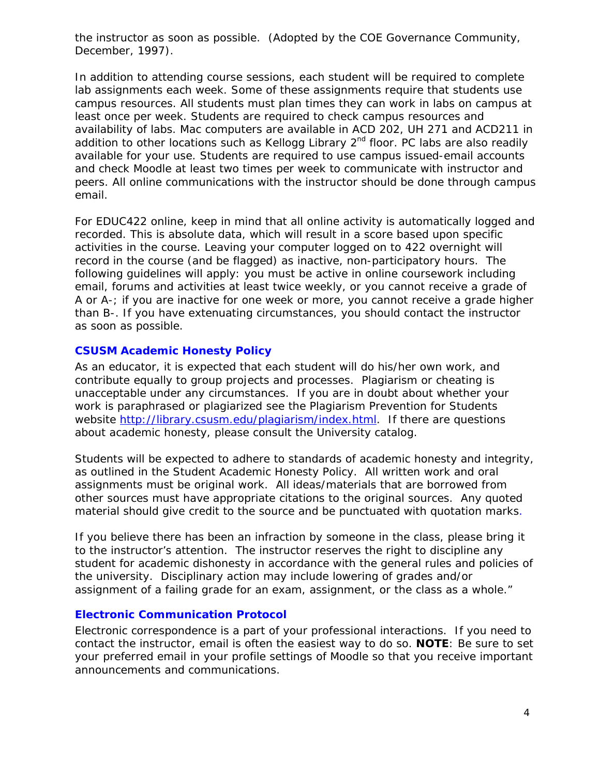the instructor as soon as possible. (Adopted by the COE Governance Community, December, 1997).

 peers. All online communications with the instructor should be done through campus In addition to attending course sessions, each student will be required to complete lab assignments each week. Some of these assignments require that students use campus resources. All students must plan times they can work in labs on campus at least once per week. Students are required to check campus resources and availability of labs. Mac computers are available in ACD 202, UH 271 and ACD211 in addition to other locations such as Kellogg Library  $2<sup>nd</sup>$  floor. PC labs are also readily available for your use. Students are required to use campus issued-email accounts and check Moodle at least two times per week to communicate with instructor and email.

 recorded. This is absolute data, which will result in a score based upon specific A or A-; if you are inactive for one week or more, you cannot receive a grade higher For EDUC422 online, keep in mind that all online activity is automatically logged and activities in the course. Leaving your computer logged on to 422 overnight will record in the course (and be flagged) as inactive, non-participatory hours. The following guidelines will apply: you must be active in online coursework including email, forums and activities at least twice weekly, or you cannot receive a grade of than B-. If you have extenuating circumstances, you should contact the instructor as soon as possible.

### **CSUSM Academic Honesty Policy**

As an educator, it is expected that each student will do his/her own work, and contribute equally to group projects and processes. Plagiarism or cheating is unacceptable under any circumstances. If you are in doubt about whether your work is paraphrased or plagiarized see the Plagiarism Prevention for Students website http://library.csusm.edu/plagiarism/index.html. If there are questions about academic honesty, please consult the University catalog.

Students will be expected to adhere to standards of academic honesty and integrity, as outlined in the Student Academic Honesty Policy. All written work and oral assignments must be original work. All ideas/materials that are borrowed from other sources must have appropriate citations to the original sources. Any quoted material should give credit to the source and be punctuated with quotation marks.

 If you believe there has been an infraction by someone in the class, please bring it to the instructor's attention. The instructor reserves the right to discipline any student for academic dishonesty in accordance with the general rules and policies of the university. Disciplinary action may include lowering of grades and/or assignment of a failing grade for an exam, assignment, or the class as a whole."

### **Electronic Communication Protocol**

Electronic correspondence is a part of your professional interactions. If you need to contact the instructor, email is often the easiest way to do so. **NOTE**: Be sure to set your preferred email in your profile settings of Moodle so that you receive important announcements and communications.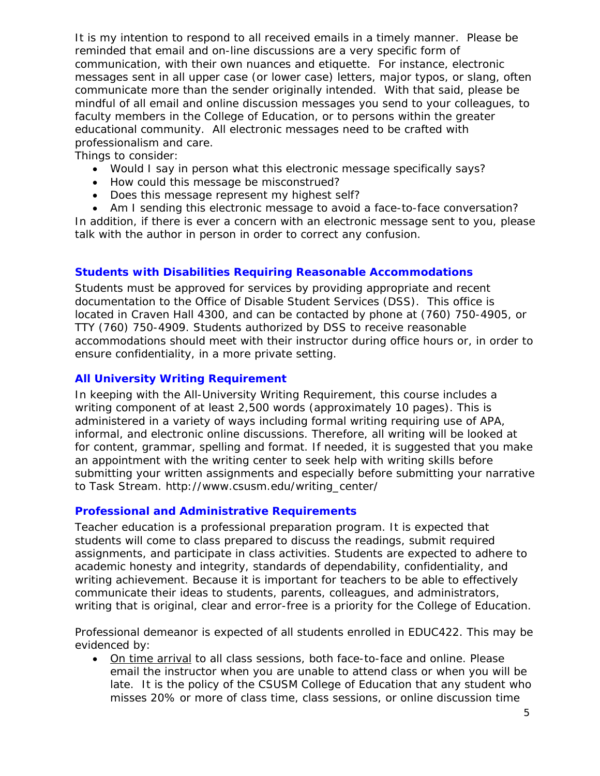professionalism and care. It is my intention to respond to all received emails in a timely manner. Please be reminded that email and on-line discussions are a very specific form of communication, with their own nuances and etiquette. For instance, electronic messages sent in all upper case (or lower case) letters, major typos, or slang, often communicate more than the sender originally intended. With that said, please be mindful of all email and online discussion messages you send to your colleagues, to faculty members in the College of Education, or to persons within the greater educational community. All electronic messages need to be crafted with

Things to consider:

- Would I say in person what this electronic message specifically says?
- How could this message be misconstrued?
- Does this message represent my highest self?

 Am I sending this electronic message to avoid a face-to-face conversation? In addition, if there is ever a concern with an electronic message sent to you, please talk with the author in person in order to correct any confusion.

# **Students with Disabilities Requiring Reasonable Accommodations**

Students must be approved for services by providing appropriate and recent documentation to the Office of Disable Student Services (DSS). This office is located in Craven Hall 4300, and can be contacted by phone at (760) 750-4905, or TTY (760) 750-4909. Students authorized by DSS to receive reasonable accommodations should meet with their instructor during office hours or, in order to ensure confidentiality, in a more private setting.

### **All University Writing Requirement**

In keeping with the All-University Writing Requirement, this course includes a writing component of at least 2,500 words (approximately 10 pages). This is administered in a variety of ways including formal writing requiring use of APA, informal, and electronic online discussions. Therefore, all writing will be looked at for content, grammar, spelling and format. If needed, it is suggested that you make an appointment with the writing center to seek help with writing skills before submitting your written assignments and especially before submitting your narrative to Task Stream. http://www.csusm.edu/writing\_center/

# **Professional and Administrative Requirements**

 writing that is original, clear and error-free is a priority for the College of Education. Teacher education is a professional preparation program. It is expected that students will come to class prepared to discuss the readings, submit required assignments, and participate in class activities. Students are expected to adhere to academic honesty and integrity, standards of dependability, confidentiality, and writing achievement. Because it is important for teachers to be able to effectively communicate their ideas to students, parents, colleagues, and administrators,

Professional demeanor is expected of all students enrolled in EDUC422. This may be evidenced by:

 On time arrival to all class sessions, both face-to-face and online. Please email the instructor when you are unable to attend class or when you will be late. It is the policy of the CSUSM College of Education that any student who misses 20% or more of class time, class sessions, or online discussion time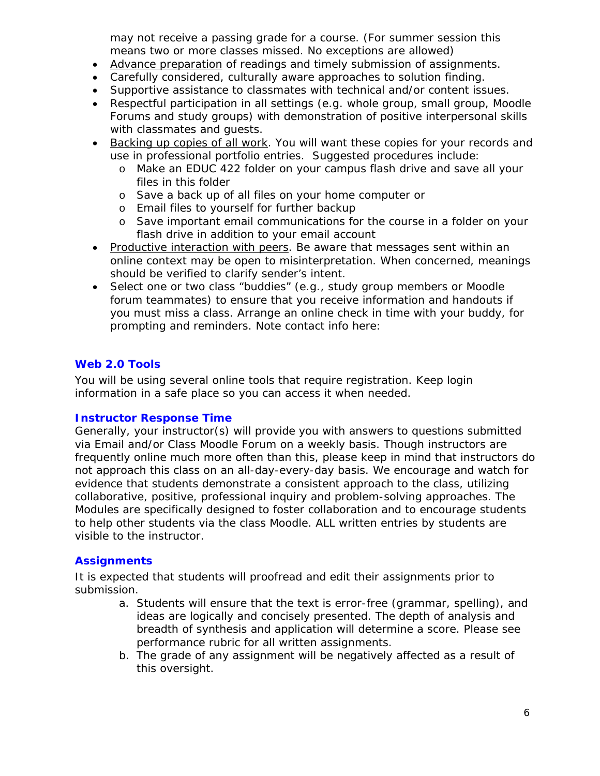may not receive a passing grade for a course. (For summer session this means two or more classes missed. No exceptions are allowed)

- Advance preparation of readings and timely submission of assignments.
- Carefully considered, culturally aware approaches to solution finding.
- Supportive assistance to classmates with technical and/or content issues.
- Respectful participation in all settings (e.g. whole group, small group, Moodle Forums and study groups) with demonstration of positive interpersonal skills with classmates and guests.
- Backing up copies of all work. You will want these copies for your records and use in professional portfolio entries. Suggested procedures include:
	- o Make an EDUC 422 folder on your campus flash drive and save all your files in this folder
	- o Save a back up of all files on your home computer or
	- o Email files to yourself for further backup
	- o Save important email communications for the course in a folder on your flash drive in addition to your email account
- Productive interaction with peers. Be aware that messages sent within an online context may be open to misinterpretation. When concerned, meanings should be verified to clarify sender's intent.
- forum teammates) to ensure that you receive information and handouts if • Select one or two class "buddies" (e.g., study group members or Moodle you must miss a class. Arrange an online check in time with your buddy, for prompting and reminders. Note contact info here:

# **Web 2.0 Tools**

You will be using several online tools that require registration. Keep login information in a safe place so you can access it when needed.

### **Instructor Response Time**

Generally, your instructor(s) will provide you with answers to questions submitted via Email and/or Class Moodle Forum on a weekly basis. Though instructors are frequently online much more often than this, please keep in mind that instructors do not approach this class on an all-day-every-day basis. We encourage and watch for evidence that students demonstrate a consistent approach to the class, utilizing collaborative, positive, professional inquiry and problem-solving approaches. The Modules are specifically designed to foster collaboration and to encourage students to help other students via the class Moodle. ALL written entries by students are visible to the instructor.

# **Assignments**

It is expected that students will proofread and edit their assignments prior to submission.

- a. Students will ensure that the text is error-free (grammar, spelling), and ideas are logically and concisely presented. The depth of analysis and breadth of synthesis and application will determine a score. Please see performance rubric for all written assignments.
- b. The grade of any assignment will be negatively affected as a result of this oversight.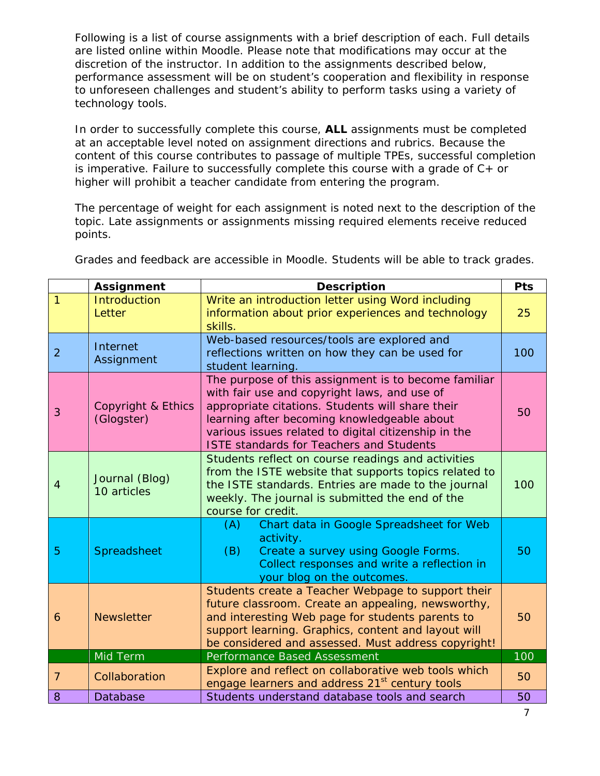Following is a list of course assignments with a brief description of each. Full details are listed online within Moodle. Please note that modifications may occur at the discretion of the instructor. In addition to the assignments described below, performance assessment will be on student's cooperation and flexibility in response to unforeseen challenges and student's ability to perform tasks using a variety of technology tools.

In order to successfully complete this course, **ALL** assignments must be completed at an acceptable level noted on assignment directions and rubrics. Because the content of this course contributes to passage of multiple TPEs, successful completion is imperative. Failure to successfully complete this course with a grade of  $C_{+}$  or higher will prohibit a teacher candidate from entering the program.

The percentage of weight for each assignment is noted next to the description of the topic. Late assignments or assignments missing required elements receive reduced points.

|                | <b>Assignment</b>                | <b>Description</b>                                                                                                                                                                                                                                                                                                 |     |  |  |
|----------------|----------------------------------|--------------------------------------------------------------------------------------------------------------------------------------------------------------------------------------------------------------------------------------------------------------------------------------------------------------------|-----|--|--|
| 1              | <b>Introduction</b><br>Letter    | Write an introduction letter using Word including<br>information about prior experiences and technology<br>skills.                                                                                                                                                                                                 |     |  |  |
| $\overline{2}$ | Internet<br>Assignment           | Web-based resources/tools are explored and<br>reflections written on how they can be used for<br>student learning.                                                                                                                                                                                                 |     |  |  |
| 3              | Copyright & Ethics<br>(Glogster) | The purpose of this assignment is to become familiar<br>with fair use and copyright laws, and use of<br>appropriate citations. Students will share their<br>learning after becoming knowledgeable about<br>various issues related to digital citizenship in the<br><b>ISTE standards for Teachers and Students</b> |     |  |  |
| $\overline{4}$ | Journal (Blog)<br>10 articles    | Students reflect on course readings and activities<br>from the ISTE website that supports topics related to<br>the ISTE standards. Entries are made to the journal<br>weekly. The journal is submitted the end of the<br>course for credit.                                                                        |     |  |  |
| 5              | Spreadsheet                      | Chart data in Google Spreadsheet for Web<br>(A)<br>activity.<br>(B)<br>Create a survey using Google Forms.<br>Collect responses and write a reflection in<br>your blog on the outcomes.                                                                                                                            | 50  |  |  |
| 6              | <b>Newsletter</b>                | Students create a Teacher Webpage to support their<br>future classroom. Create an appealing, newsworthy,<br>and interesting Web page for students parents to<br>support learning. Graphics, content and layout will<br>be considered and assessed. Must address copyright!                                         |     |  |  |
|                | Mid Term                         | Performance Based Assessment                                                                                                                                                                                                                                                                                       | 100 |  |  |
| $\overline{7}$ | Collaboration                    | Explore and reflect on collaborative web tools which<br>engage learners and address 21 <sup>st</sup> century tools                                                                                                                                                                                                 |     |  |  |
| 8              | Database                         | Students understand database tools and search                                                                                                                                                                                                                                                                      |     |  |  |

Grades and feedback are accessible in Moodle. Students will be able to track grades.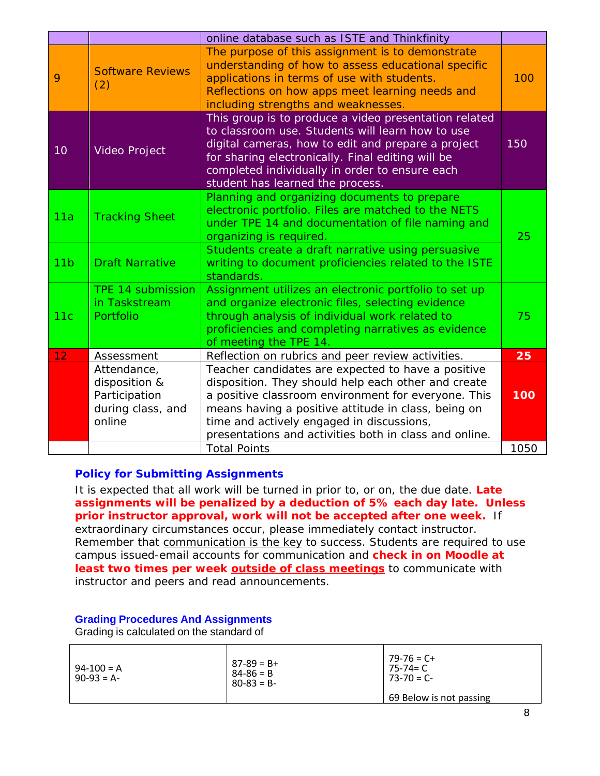|                 |                                                                              | online database such as ISTE and Thinkfinity                                                                                                                                                                                                                                                                                   |      |  |
|-----------------|------------------------------------------------------------------------------|--------------------------------------------------------------------------------------------------------------------------------------------------------------------------------------------------------------------------------------------------------------------------------------------------------------------------------|------|--|
| 9               | <b>Software Reviews</b><br>(2)                                               | The purpose of this assignment is to demonstrate<br>understanding of how to assess educational specific<br>applications in terms of use with students.<br>Reflections on how apps meet learning needs and<br>including strengths and weaknesses.                                                                               |      |  |
| 10              | <b>Video Project</b>                                                         | This group is to produce a video presentation related<br>to classroom use. Students will learn how to use<br>digital cameras, how to edit and prepare a project<br>for sharing electronically. Final editing will be<br>completed individually in order to ensure each<br>student has learned the process.                     |      |  |
| 11a             | <b>Tracking Sheet</b>                                                        | Planning and organizing documents to prepare<br>electronic portfolio. Files are matched to the NETS<br>under TPE 14 and documentation of file naming and<br>organizing is required.                                                                                                                                            | 25   |  |
| 11 <sub>b</sub> | <b>Draft Narrative</b>                                                       | Students create a draft narrative using persuasive<br>writing to document proficiencies related to the ISTE<br>standards.                                                                                                                                                                                                      |      |  |
| 11c             | TPE 14 submission<br>in Taskstream<br>Portfolio                              | Assignment utilizes an electronic portfolio to set up<br>and organize electronic files, selecting evidence<br>through analysis of individual work related to<br>proficiencies and completing narratives as evidence<br>of meeting the TPE 14.                                                                                  |      |  |
| 12 <sub>2</sub> | Assessment                                                                   | Reflection on rubrics and peer review activities.                                                                                                                                                                                                                                                                              | 25   |  |
|                 | Attendance,<br>disposition &<br>Participation<br>during class, and<br>online | Teacher candidates are expected to have a positive<br>disposition. They should help each other and create<br>a positive classroom environment for everyone. This<br>means having a positive attitude in class, being on<br>time and actively engaged in discussions,<br>presentations and activities both in class and online. | 100  |  |
|                 |                                                                              | <b>Total Points</b>                                                                                                                                                                                                                                                                                                            | 1050 |  |

### **Policy for Submitting Assignments**

It is expected that all work will be turned in prior to, or on, the due date. **Late assignments will be penalized by a deduction of 5% each day late. Unless prior instructor approval, work will not be accepted after one week.** If extraordinary circumstances occur, please immediately contact instructor. Remember that communication is the key to success. Students are required to use campus issued-email accounts for communication and **check in on Moodle at**  least two times per week **outside of class meetings** to communicate with instructor and peers and read announcements.

#### **Grading Procedures And Assignments**

Grading is calculated on the standard of

| $94-100 = A$<br>$90-93 = A$ | $87 - 89 = B +$<br>$84 - 86 = B$<br>$80 - 83 = B$ | $79 - 76 = C +$<br>75-74= C<br>$73 - 70 = C$ |
|-----------------------------|---------------------------------------------------|----------------------------------------------|
|                             |                                                   | 69 Below is not passing                      |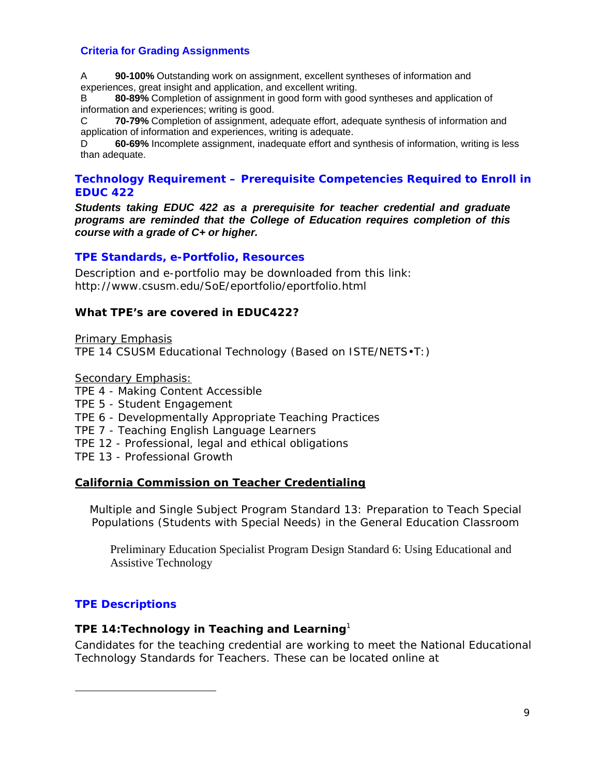### **Criteria for Grading Assignments**

A **90-100%** Outstanding work on assignment, excellent syntheses of information and experiences, great insight and application, and excellent writing.

 information and experiences; writing is good. B **80-89%** Completion of assignment in good form with good syntheses and application of

C. **70-79%** Completion of assignment, adequate effort, adequate synthesis of information and application of information and experiences, writing is adequate.

D **60-69%** Incomplete assignment, inadequate effort and synthesis of information, writing is less than adequate.

### **Technology Requirement – Prerequisite Competencies Required to Enroll in EDUC 422**

*Students taking EDUC 422 as a prerequisite for teacher credential and graduate programs are reminded that the College of Education requires completion of this course with a grade of C+ or higher.* 

### **TPE Standards, e-Portfolio, Resources**

Description and e-portfolio may be downloaded from this link: http://www.csusm.edu/SoE/eportfolio/eportfolio.html

### **What TPE's are covered in EDUC422?**

Primary Emphasis TPE 14 CSUSM Educational Technology (Based on ISTE/NETS•T:)

Secondary Emphasis:

- TPE 4 Making Content Accessible
- TPE 5 Student Engagement
- TPE 6 Developmentally Appropriate Teaching Practices
- TPE 7 Teaching English Language Learners
- TPE 12 Professional, legal and ethical obligations

TPE 13 - Professional Growth

### **California Commission on Teacher Credentialing**

 Populations (Students with Special Needs) in the General Education Classroom Multiple and Single Subject Program Standard 13: Preparation to Teach Special

Preliminary Education Specialist Program Design Standard 6: Using Educational and Assistive Technology

### **TPE Descriptions**

 $\overline{a}$ 

### *TPE 14:Technology in Teaching and Learning<sup>1</sup>*

Candidates for the teaching credential are working to meet the National Educational Technology Standards for Teachers. These can be located online at